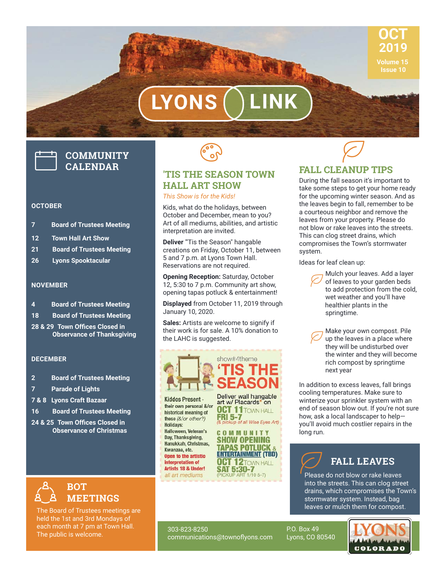

# LYONS

## **COMMUNITY CALENDAR**

#### **OCTOBER**

- **7 Board of Trustees Meeting**
- **12 Town Hall Art Show**
- **21 Board of Trustees Meeting**
- **26 Lyons Spooktacular**

### **NOVEMBER**

- **4 Board of Trustees Meeting**
- **18 Board of Trustees Meeting**
- **28 & 29 Town Offices Closed in Observance of Thanksgiving**

### **DECEMBER**

- **2 Board of Trustees Meeting**
- **7 Parade of Lights**
- **7 & 8 Lyons Craft Bazaar**
- **16 Board of Trustees Meeting**
- 24 & 25 Town Offices Closed in **Observance of Christmas**



The Board of Trustees meetings are held the 1st and 3rd Mondays of each month at 7 pm at Town Hall. The public is welcome.



### **'TIS THE SEASON TOWN HALL ART SHOW** *This Show is for the Kids!*

Kids, what do the holidays, between October and December, mean to you? Art of all mediums, abilities, and artistic interpretation are invited.

**Deliver** "Tis the Season" hangable creations on Friday, October 11, between 5 and 7 p.m. at Lyons Town Hall. Reservations are not required.

**Opening Reception:** Saturday, October 12, 5:30 to 7 p.m. Community art show, opening tapas potluck & entertainment!

**Displayed** from October 11, 2019 through January 10, 2020.

**Sales:** Artists are welcome to signify if their work is for sale. A 10% donation to the LAHC is suggested.

|                                                                                                                                         | show#4theme<br>'TIS THE<br><b>SEASON</b>                                                                   |
|-----------------------------------------------------------------------------------------------------------------------------------------|------------------------------------------------------------------------------------------------------------|
| Kiddos Present -<br>their own personal &/or<br>historical meaning of<br>these (&/or other?)<br><b>Holidays:</b><br>Halloween, Veteran's | Deliver wall hangable<br>art w/ Placards* on<br><b>OCT 11</b> TOWN HALL<br>(& pickup of all Wise Eyes Art) |

Day, Thanksgiving, **SHOW OPENING** Hanukkah, Christmas, **TAPAS POTLUCK** Kwanzaa, etc. **ENTERTAINMENT (TBD)** Open to the artistic **OCT 12TOWN HALL** interpretation of SAT 5:30-7<br>(PICKUP ART 1/10 5-7) Artists 18 & Under!

all art mediums

### **FALL CLEANUP TIPS**  $\varnothing$

During the fall season it's important to take some steps to get your home ready for the upcoming winter season. And as the leaves begin to fall, remember to be a courteous neighbor and remove the leaves from your property. Please do not blow or rake leaves into the streets. This can clog street drains, which compromises the Town's stormwater system.

Ideas for leaf clean up:

 Mulch your leaves. Add a layer of leaves to your garden beds to add protection from the cold, wet weather and you'll have healthier plants in the springtime.  $\varnothing$ 

 Make your own compost. Pile up the leaves in a place where they will be undisturbed over the winter and they will become rich compost by springtime next year  $\varnothing$ 

In addition to excess leaves, fall brings cooling temperatures. Make sure to winterize your sprinkler system with an end of season blow out. If you're not sure how, ask a local landscaper to help you'll avoid much costlier repairs in the long run.

### **FALL LEAVES**

Please do not blow or rake leaves into the streets. This can clog street drains, which compromises the Town's stormwater system. Instead, bag leaves or mulch them for compost.  $\varnothing$ 

**COLORADO** 

303-823-8250 communications@townoflyons.com P.O. Box 49 Lyons, CO 80540